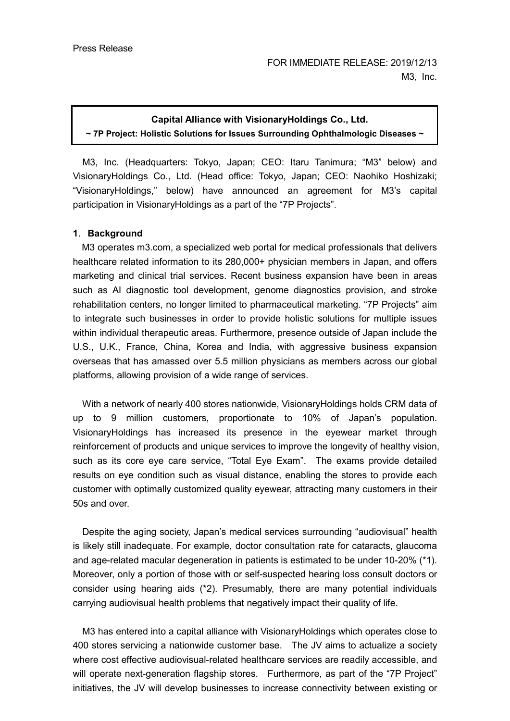### **Capital Alliance with VisionaryHoldings Co., Ltd.**

**~ 7P Project: Holistic Solutions for Issues Surrounding Ophthalmologic Diseases ~**

M3, Inc. (Headquarters: Tokyo, Japan; CEO: Itaru Tanimura; "M3" below) and VisionaryHoldings Co., Ltd. (Head office: Tokyo, Japan; CEO: Naohiko Hoshizaki; "VisionaryHoldings," below) have announced an agreement for M3's capital participation in VisionaryHoldings as a part of the "7P Projects".

### **1**.**Background**

M3 operates m3.com, a specialized web portal for medical professionals that delivers healthcare related information to its 280,000+ physician members in Japan, and offers marketing and clinical trial services. Recent business expansion have been in areas such as AI diagnostic tool development, genome diagnostics provision, and stroke rehabilitation centers, no longer limited to pharmaceutical marketing. "7P Projects" aim to integrate such businesses in order to provide holistic solutions for multiple issues within individual therapeutic areas. Furthermore, presence outside of Japan include the U.S., U.K., France, China, Korea and India, with aggressive business expansion overseas that has amassed over 5.5 million physicians as members across our global platforms, allowing provision of a wide range of services.

With a network of nearly 400 stores nationwide, VisionaryHoldings holds CRM data of up to 9 million customers, proportionate to 10% of Japan's population. VisionaryHoldings has increased its presence in the eyewear market through reinforcement of products and unique services to improve the longevity of healthy vision, such as its core eye care service, "Total Eye Exam". The exams provide detailed results on eye condition such as visual distance, enabling the stores to provide each customer with optimally customized quality eyewear, attracting many customers in their 50s and over.

Despite the aging society, Japan's medical services surrounding "audiovisual" health is likely still inadequate. For example, doctor consultation rate for cataracts, glaucoma and age-related macular degeneration in patients is estimated to be under 10-20% (\*1). Moreover, only a portion of those with or self-suspected hearing loss consult doctors or consider using hearing aids (\*2). Presumably, there are many potential individuals carrying audiovisual health problems that negatively impact their quality of life.

M3 has entered into a capital alliance with VisionaryHoldings which operates close to 400 stores servicing a nationwide customer base. The JV aims to actualize a society where cost effective audiovisual-related healthcare services are readily accessible, and will operate next-generation flagship stores. Furthermore, as part of the "7P Project" initiatives, the JV will develop businesses to increase connectivity between existing or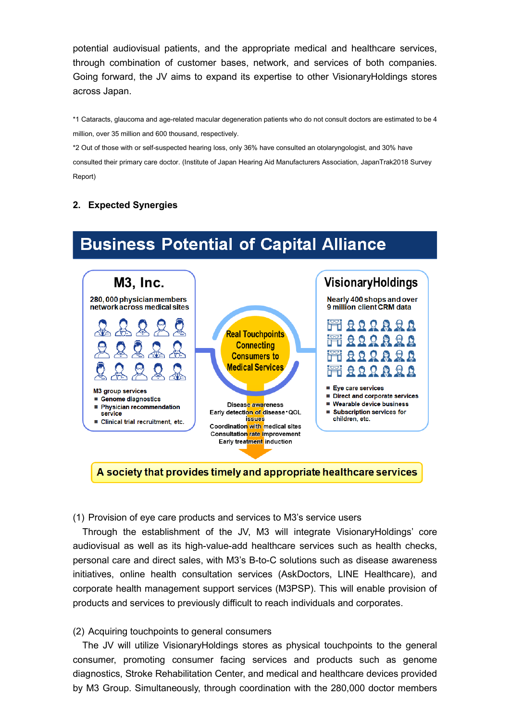potential audiovisual patients, and the appropriate medical and healthcare services, through combination of customer bases, network, and services of both companies. Going forward, the JV aims to expand its expertise to other VisionaryHoldings stores across Japan.

\*1 Cataracts, glaucoma and age-related macular degeneration patients who do not consult doctors are estimated to be 4 million, over 35 million and 600 thousand, respectively.

\*2 Out of those with or self-suspected hearing loss, only 36% have consulted an otolaryngologist, and 30% have consulted their primary care doctor. (Institute of Japan Hearing Aid Manufacturers Association, JapanTrak2018 Survey Report)

**Business Potential of Capital Alliance** 

# **2. Expected Synergies**

#### **M3, Inc.** VisionaryHoldings 280,000 physician members Nearly 400 shops and over 9 million client CRM data network across medical sites **FIRRQARA Real Touchpoints** 1 Q Q Q Q Q Q **Connecting** 見見 **Consumers to Medical Services** Firrarra ■ Eye care services M3 group services Direct and corporate services ■ Genome diagnostics ■ Wearable device business Disease awareness Physician recommendation ■ Subscription services for Early detection of disease QOL service children. etc. issues Clinical trial recruitment, etc. Coordination with medical sites Consultation rate improvement Early treatment induction

A society that provides timely and appropriate healthcare services

(1) Provision of eye care products and services to M3's service users

Through the establishment of the JV, M3 will integrate VisionaryHoldings' core audiovisual as well as its high-value-add healthcare services such as health checks, personal care and direct sales, with M3's B-to-C solutions such as disease awareness initiatives, online health consultation services (AskDoctors, LINE Healthcare), and corporate health management support services (M3PSP). This will enable provision of products and services to previously difficult to reach individuals and corporates.

(2) Acquiring touchpoints to general consumers

The JV will utilize VisionaryHoldings stores as physical touchpoints to the general consumer, promoting consumer facing services and products such as genome diagnostics, Stroke Rehabilitation Center, and medical and healthcare devices provided by M3 Group. Simultaneously, through coordination with the 280,000 doctor members